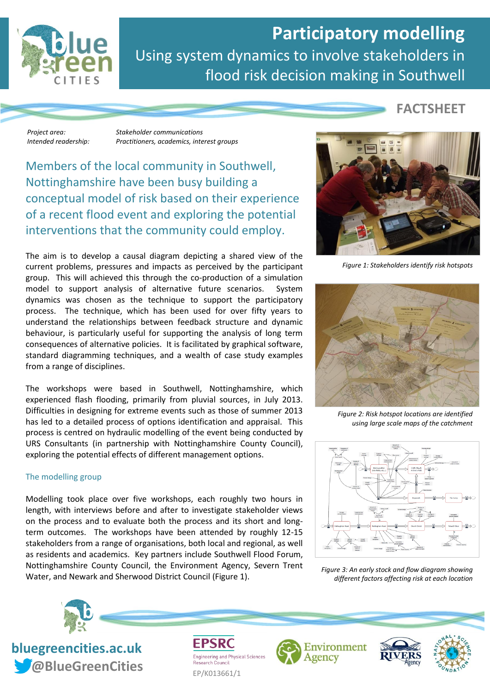

## **Participatory modelling** Using system dynamics to involve stakeholders in flood risk decision making in Southwell

*Project area: Stakeholder communications Intended readership: Practitioners, academics, interest groups*

Members of the local community in Southwell, Nottinghamshire have been busy building a conceptual model of risk based on their experience of a recent flood event and exploring the potential interventions that the community could employ.

The aim is to develop a causal diagram depicting a shared view of the current problems, pressures and impacts as perceived by the participant group. This will achieved this through the co-production of a simulation model to support analysis of alternative future scenarios. System dynamics was chosen as the technique to support the participatory process. The technique, which has been used for over fifty years to understand the relationships between feedback structure and dynamic behaviour, is particularly useful for supporting the analysis of long term consequences of alternative policies. It is facilitated by graphical software, standard diagramming techniques, and a wealth of case study examples from a range of disciplines.

The workshops were based in Southwell, Nottinghamshire, which experienced flash flooding, primarily from pluvial sources, in July 2013. Difficulties in designing for extreme events such as those of summer 2013 has led to a detailed process of options identification and appraisal. This process is centred on hydraulic modelling of the event being conducted by URS Consultants (in partnership with Nottinghamshire County Council), exploring the potential effects of different management options.

## The modelling group

Modelling took place over five workshops, each roughly two hours in length, with interviews before and after to investigate stakeholder views on the process and to evaluate both the process and its short and longterm outcomes. The workshops have been attended by roughly 12-15 stakeholders from a range of organisations, both local and regional, as well as residents and academics. Key partners include Southwell Flood Forum, Nottinghamshire County Council, the Environment Agency, Severn Trent Water, and Newark and Sherwood District Council (Figure 1).

**FACTSHEET**



*Figure 1: Stakeholders identify risk hotspots*



*Figure 2: Risk hotspot locations are identified using large scale maps of the catchment*



*Figure 3: An early stock and flow diagram showing different factors affecting risk at each location*



**bluegreencities.ac.uk** *Cobineral CreenCities* EP/K013661/1

**Engineering and Physical Sciences**